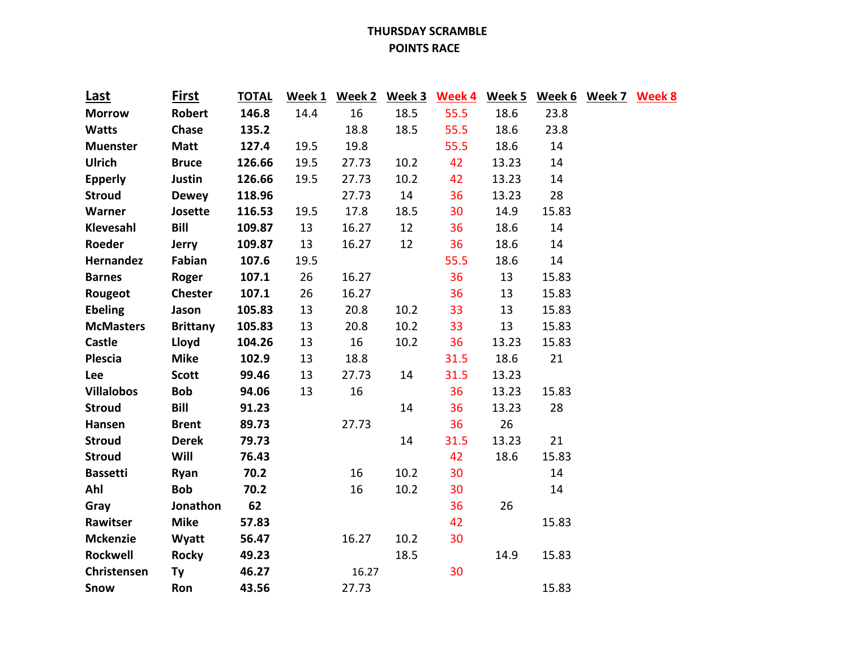## **THURSDAY SCRAMBLE POINTS RACE**

| Last              | <b>First</b>    | <b>TOTAL</b> |      |       |      |      |       | Week 1 Week 2 Week 3 Week 4 Week 5 Week 6 Week 7 Week 8 |  |
|-------------------|-----------------|--------------|------|-------|------|------|-------|---------------------------------------------------------|--|
| <b>Morrow</b>     | Robert          | 146.8        | 14.4 | 16    | 18.5 | 55.5 | 18.6  | 23.8                                                    |  |
| <b>Watts</b>      | Chase           | 135.2        |      | 18.8  | 18.5 | 55.5 | 18.6  | 23.8                                                    |  |
| <b>Muenster</b>   | <b>Matt</b>     | 127.4        | 19.5 | 19.8  |      | 55.5 | 18.6  | 14                                                      |  |
| <b>Ulrich</b>     | <b>Bruce</b>    | 126.66       | 19.5 | 27.73 | 10.2 | 42   | 13.23 | 14                                                      |  |
| <b>Epperly</b>    | Justin          | 126.66       | 19.5 | 27.73 | 10.2 | 42   | 13.23 | 14                                                      |  |
| <b>Stroud</b>     | <b>Dewey</b>    | 118.96       |      | 27.73 | 14   | 36   | 13.23 | 28                                                      |  |
| <b>Warner</b>     | Josette         | 116.53       | 19.5 | 17.8  | 18.5 | 30   | 14.9  | 15.83                                                   |  |
| Klevesahl         | Bill            | 109.87       | 13   | 16.27 | 12   | 36   | 18.6  | 14                                                      |  |
| Roeder            | <b>Jerry</b>    | 109.87       | 13   | 16.27 | 12   | 36   | 18.6  | 14                                                      |  |
| Hernandez         | Fabian          | 107.6        | 19.5 |       |      | 55.5 | 18.6  | 14                                                      |  |
| <b>Barnes</b>     | Roger           | 107.1        | 26   | 16.27 |      | 36   | 13    | 15.83                                                   |  |
| Rougeot           | <b>Chester</b>  | 107.1        | 26   | 16.27 |      | 36   | 13    | 15.83                                                   |  |
| <b>Ebeling</b>    | Jason           | 105.83       | 13   | 20.8  | 10.2 | 33   | 13    | 15.83                                                   |  |
| <b>McMasters</b>  | <b>Brittany</b> | 105.83       | 13   | 20.8  | 10.2 | 33   | 13    | 15.83                                                   |  |
| <b>Castle</b>     | Lloyd           | 104.26       | 13   | 16    | 10.2 | 36   | 13.23 | 15.83                                                   |  |
| Plescia           | <b>Mike</b>     | 102.9        | 13   | 18.8  |      | 31.5 | 18.6  | 21                                                      |  |
| Lee               | <b>Scott</b>    | 99.46        | 13   | 27.73 | 14   | 31.5 | 13.23 |                                                         |  |
| <b>Villalobos</b> | <b>Bob</b>      | 94.06        | 13   | 16    |      | 36   | 13.23 | 15.83                                                   |  |
| <b>Stroud</b>     | <b>Bill</b>     | 91.23        |      |       | 14   | 36   | 13.23 | 28                                                      |  |
| Hansen            | <b>Brent</b>    | 89.73        |      | 27.73 |      | 36   | 26    |                                                         |  |
| <b>Stroud</b>     | <b>Derek</b>    | 79.73        |      |       | 14   | 31.5 | 13.23 | 21                                                      |  |
| <b>Stroud</b>     | Will            | 76.43        |      |       |      | 42   | 18.6  | 15.83                                                   |  |
| <b>Bassetti</b>   | Ryan            | 70.2         |      | 16    | 10.2 | 30   |       | 14                                                      |  |
| Ahl               | <b>Bob</b>      | 70.2         |      | 16    | 10.2 | 30   |       | 14                                                      |  |
| Gray              | Jonathon        | 62           |      |       |      | 36   | 26    |                                                         |  |
| Rawitser          | <b>Mike</b>     | 57.83        |      |       |      | 42   |       | 15.83                                                   |  |
| <b>Mckenzie</b>   | Wyatt           | 56.47        |      | 16.27 | 10.2 | 30   |       |                                                         |  |
| Rockwell          | <b>Rocky</b>    | 49.23        |      |       | 18.5 |      | 14.9  | 15.83                                                   |  |
| Christensen       | <b>Ty</b>       | 46.27        |      | 16.27 |      | 30   |       |                                                         |  |
| Snow              | Ron             | 43.56        |      | 27.73 |      |      |       | 15.83                                                   |  |